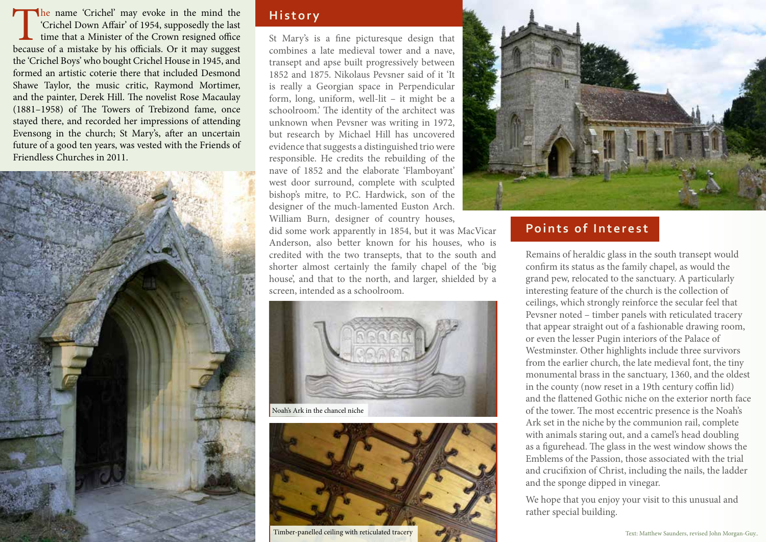The name 'Crichel' may evoke in the mind the 'Crichel Down Affair' of 1954, supposedly the last time that a Minister of the Crown resigned office because of a mistake by his officials. Or it may suggest the 'Crichel Boys' who bought Crichel House in 1945, and formed an artistic coterie there that included Desmond Shawe Taylor, the music critic, Raymond Mortimer, and the painter, Derek Hill. The novelist Rose Macaulay (1881–1958) of The Towers of Trebizond fame, once stayed there, and recorded her impressions of attending Evensong in the church; St Mary's, after an uncertain future of a good ten years, was vested with the Friends of Friendless Churches in 2011.



## **History**

St Mary's is a fine picturesque design that combines a late medieval tower and a nave, transept and apse built progressively between 1852 and 1875. Nikolaus Pevsner said of it 'It is really a Georgian space in Perpendicular form, long, uniform, well-lit – it might be a schoolroom.' The identity of the architect was unknown when Pevsner was writing in 1972, but research by Michael Hill has uncovered evidence that suggests a distinguished trio were responsible. He credits the rebuilding of the nave of 1852 and the elaborate 'Flamboyant' west door surround, complete with sculpted bishop's mitre, to P.C. Hardwick, son of the designer of the much-lamented Euston Arch. William Burn, designer of country houses,

did some work apparently in 1854, but it was MacVicar Anderson, also better known for his houses, who is credited with the two transepts, that to the south and shorter almost certainly the family chapel of the 'big house', and that to the north, and larger, shielded by a screen, intended as a schoolroom.





Timber-panelled ceiling with reticulated tracery



# **Points of Interest**

Remains of heraldic glass in the south transept would confirm its status as the family chapel, as would the grand pew, relocated to the sanctuary. A particularly interesting feature of the church is the collection of ceilings, which strongly reinforce the secular feel that Pevsner noted – timber panels with reticulated tracery that appear straight out of a fashionable drawing room, or even the lesser Pugin interiors of the Palace of Westminster. Other highlights include three survivors from the earlier church, the late medieval font, the tiny monumental brass in the sanctuary, 1360, and the oldest in the county (now reset in a 19th century coffin lid) and the flattened Gothic niche on the exterior north face of the tower. The most eccentric presence is the Noah's Ark set in the niche by the communion rail, complete with animals staring out, and a camel's head doubling as a figurehead. The glass in the west window shows the Emblems of the Passion, those associated with the trial and crucifixion of Christ, including the nails, the ladder and the sponge dipped in vinegar.

We hope that you enjoy your visit to this unusual and rather special building.